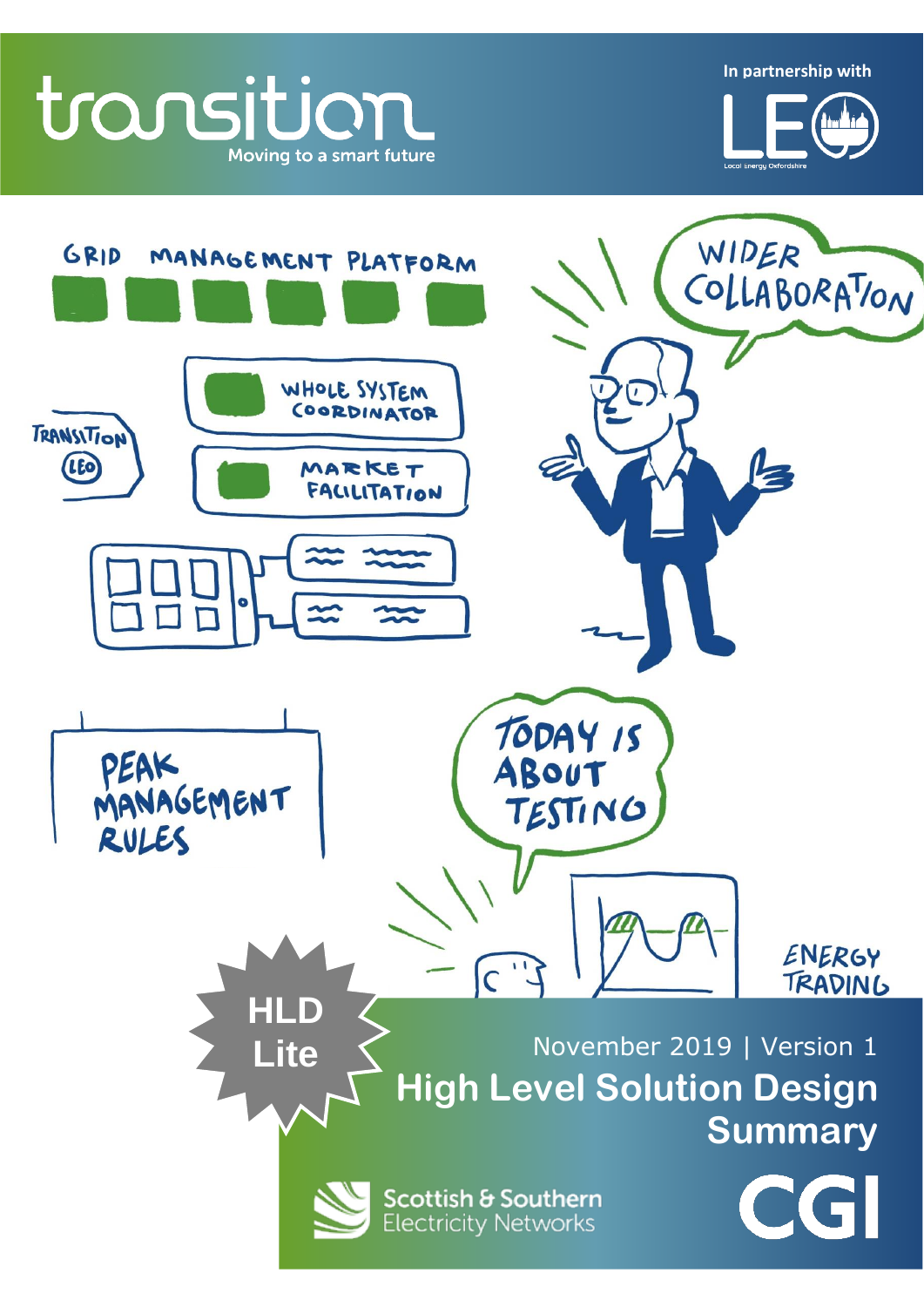transition Moving to a smart future WIDER GRID MANAGEMENT PLATFORM COLLABORATION WHOLE SYSTEM  $\sqrt{ }$ COORDINATOR **TRANSITION** (LEO Ę **>>> Insert Proposal name <<<** TODAY IS PEAK<br>MANAGEMENT<br>RULES ABOUT TESTING ENERGY  $\widehat{C}$ TRADING **HLD**  November 2019 | Version 1 **LiteHigh Level Solution Design Summary** Scottish & Southern **Electricity Networks** 

**In partnership with**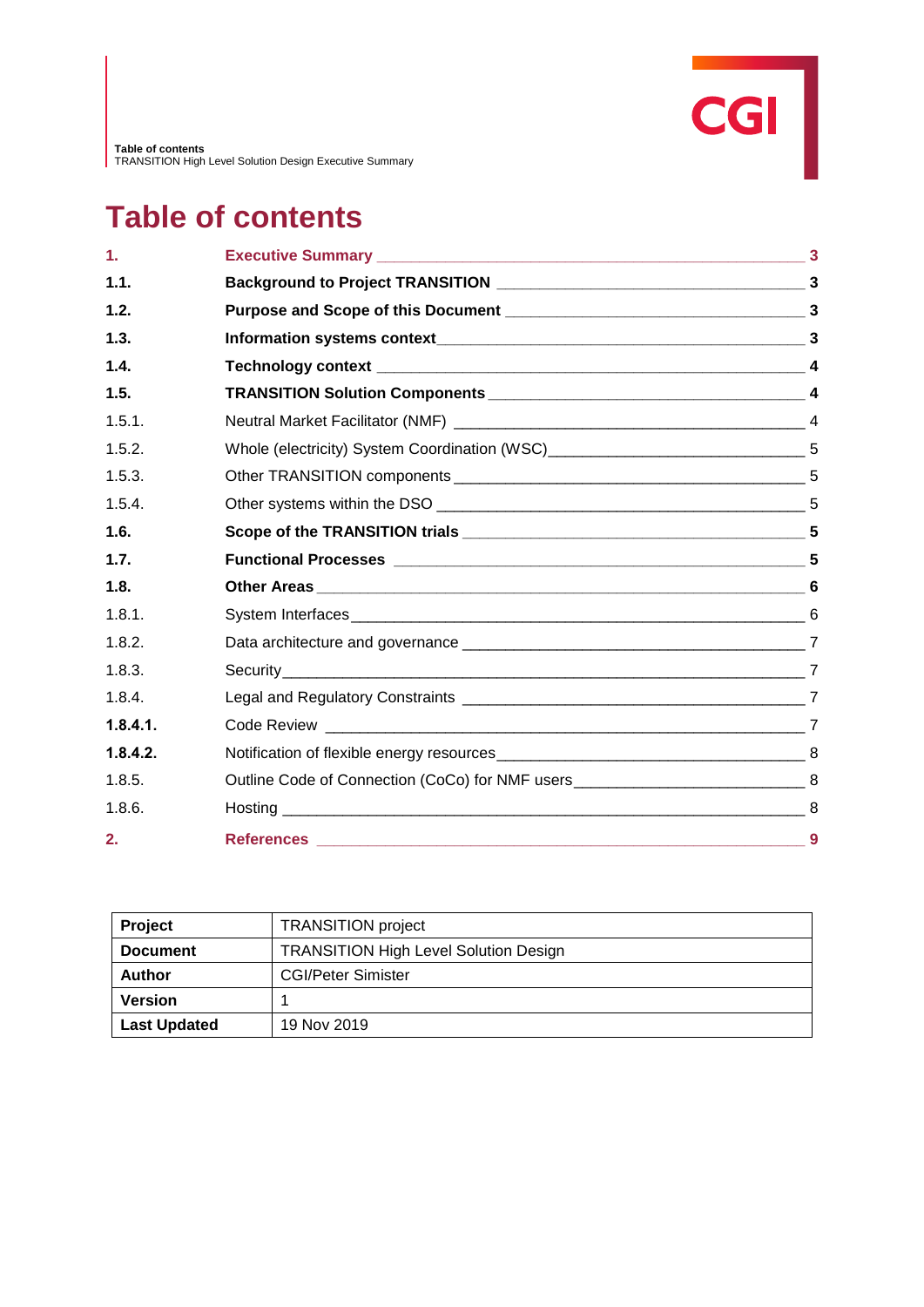# **Table of contents**

| 1.       |     |
|----------|-----|
| 1.1.     |     |
| 1.2.     |     |
| 1.3.     |     |
| 1.4.     |     |
| 1.5.     |     |
| 1.5.1.   |     |
| 1.5.2.   |     |
| 1.5.3.   |     |
| 1.5.4.   |     |
| 1.6.     |     |
| 1.7.     |     |
| 1.8.     |     |
| 1.8.1.   |     |
| 1.8.2.   |     |
| 1.8.3.   |     |
| 1.8.4.   |     |
| 1.8.4.1. |     |
| 1.8.4.2. |     |
| 1.8.5.   |     |
| 1.8.6.   |     |
| 2.       | - 9 |

| <b>Project</b>      | <b>TRANSITION</b> project                    |
|---------------------|----------------------------------------------|
| <b>Document</b>     | <b>TRANSITION High Level Solution Design</b> |
| Author              | <b>CGI/Peter Simister</b>                    |
| <b>Version</b>      |                                              |
| <b>Last Updated</b> | 19 Nov 2019                                  |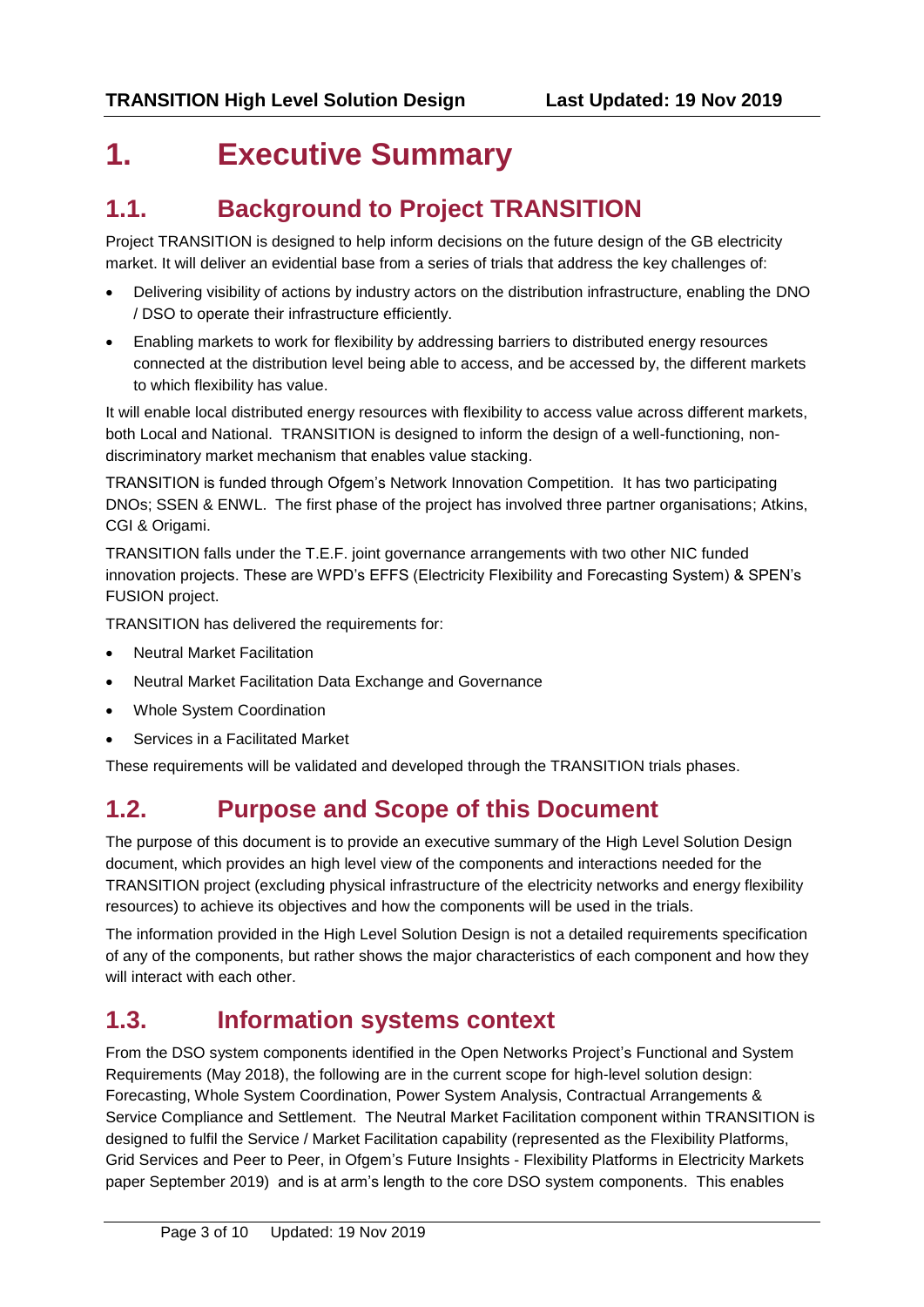## **1. Executive Summary**

### **1.1. Background to Project TRANSITION**

Project TRANSITION is designed to help inform decisions on the future design of the GB electricity market. It will deliver an evidential base from a series of trials that address the key challenges of:

- Delivering visibility of actions by industry actors on the distribution infrastructure, enabling the DNO / DSO to operate their infrastructure efficiently.
- Enabling markets to work for flexibility by addressing barriers to distributed energy resources connected at the distribution level being able to access, and be accessed by, the different markets to which flexibility has value.

It will enable local distributed energy resources with flexibility to access value across different markets, both Local and National. TRANSITION is designed to inform the design of a well-functioning, nondiscriminatory market mechanism that enables value stacking.

TRANSITION is funded through Ofgem's Network Innovation Competition. It has two participating DNOs; SSEN & ENWL. The first phase of the project has involved three partner organisations; Atkins, CGI & Origami.

TRANSITION falls under the T.E.F. joint governance arrangements with two other NIC funded innovation projects. These are WPD's EFFS (Electricity Flexibility and Forecasting System) & SPEN's FUSION project.

TRANSITION has delivered the requirements for:

- Neutral Market Facilitation
- Neutral Market Facilitation Data Exchange and Governance
- Whole System Coordination
- Services in a Facilitated Market

These requirements will be validated and developed through the TRANSITION trials phases.

### **1.2. Purpose and Scope of this Document**

The purpose of this document is to provide an executive summary of the High Level Solution Design document, which provides an high level view of the components and interactions needed for the TRANSITION project (excluding physical infrastructure of the electricity networks and energy flexibility resources) to achieve its objectives and how the components will be used in the trials.

The information provided in the High Level Solution Design is not a detailed requirements specification of any of the components, but rather shows the major characteristics of each component and how they will interact with each other.

### **1.3. Information systems context**

From the DSO system components identified in the Open Networks Project's Functional and System Requirements (May 2018), the following are in the current scope for high-level solution design: Forecasting, Whole System Coordination, Power System Analysis, Contractual Arrangements & Service Compliance and Settlement. The Neutral Market Facilitation component within TRANSITION is designed to fulfil the Service / Market Facilitation capability (represented as the Flexibility Platforms, Grid Services and Peer to Peer, in Ofgem's Future Insights - Flexibility Platforms in Electricity Markets paper September 2019) and is at arm's length to the core DSO system components. This enables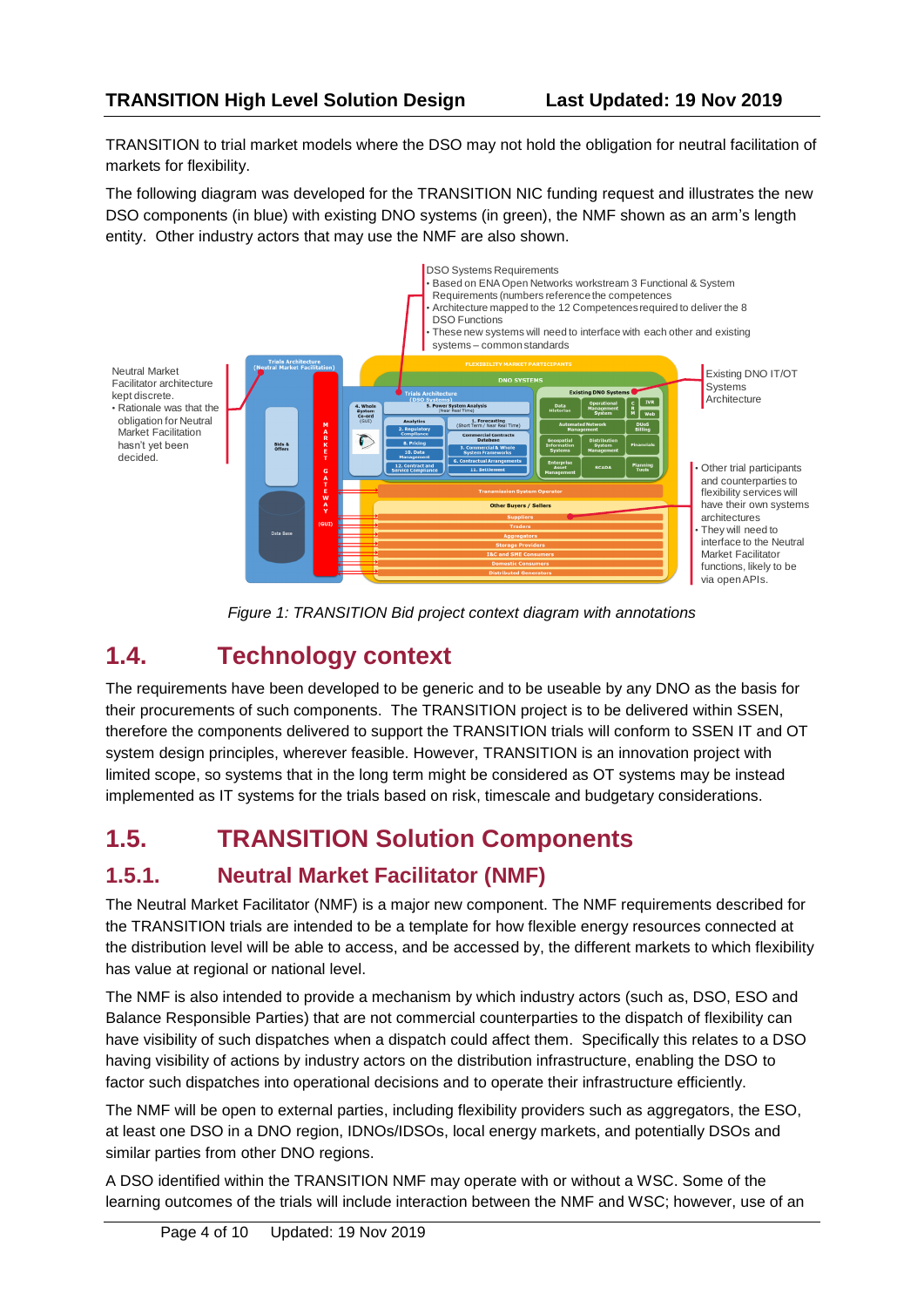TRANSITION to trial market models where the DSO may not hold the obligation for neutral facilitation of markets for flexibility.

The following diagram was developed for the TRANSITION NIC funding request and illustrates the new DSO components (in blue) with existing DNO systems (in green), the NMF shown as an arm's length entity. Other industry actors that may use the NMF are also shown.



*Figure 1: TRANSITION Bid project context diagram with annotations*

### **1.4. Technology context**

The requirements have been developed to be generic and to be useable by any DNO as the basis for their procurements of such components. The TRANSITION project is to be delivered within SSEN, therefore the components delivered to support the TRANSITION trials will conform to SSEN IT and OT system design principles, wherever feasible. However, TRANSITION is an innovation project with limited scope, so systems that in the long term might be considered as OT systems may be instead implemented as IT systems for the trials based on risk, timescale and budgetary considerations.

### **1.5. TRANSITION Solution Components**

### **1.5.1. Neutral Market Facilitator (NMF)**

The Neutral Market Facilitator (NMF) is a major new component. The NMF requirements described for the TRANSITION trials are intended to be a template for how flexible energy resources connected at the distribution level will be able to access, and be accessed by, the different markets to which flexibility has value at regional or national level.

The NMF is also intended to provide a mechanism by which industry actors (such as, DSO, ESO and Balance Responsible Parties) that are not commercial counterparties to the dispatch of flexibility can have visibility of such dispatches when a dispatch could affect them. Specifically this relates to a DSO having visibility of actions by industry actors on the distribution infrastructure, enabling the DSO to factor such dispatches into operational decisions and to operate their infrastructure efficiently.

The NMF will be open to external parties, including flexibility providers such as aggregators, the ESO, at least one DSO in a DNO region, IDNOs/IDSOs, local energy markets, and potentially DSOs and similar parties from other DNO regions.

A DSO identified within the TRANSITION NMF may operate with or without a WSC. Some of the learning outcomes of the trials will include interaction between the NMF and WSC; however, use of an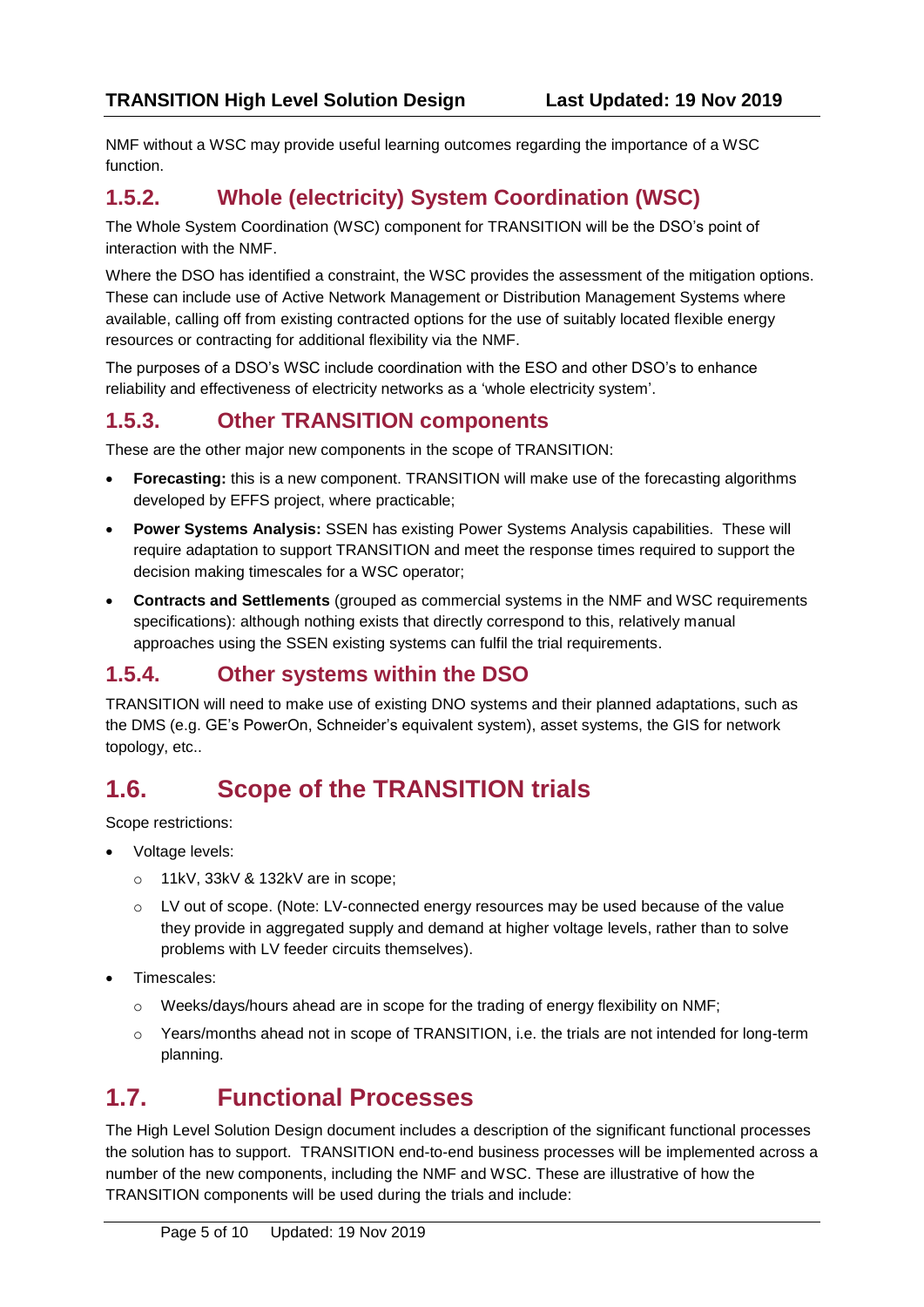NMF without a WSC may provide useful learning outcomes regarding the importance of a WSC function.

### **1.5.2. Whole (electricity) System Coordination (WSC)**

The Whole System Coordination (WSC) component for TRANSITION will be the DSO's point of interaction with the NMF.

Where the DSO has identified a constraint, the WSC provides the assessment of the mitigation options. These can include use of Active Network Management or Distribution Management Systems where available, calling off from existing contracted options for the use of suitably located flexible energy resources or contracting for additional flexibility via the NMF.

The purposes of a DSO's WSC include coordination with the ESO and other DSO's to enhance reliability and effectiveness of electricity networks as a 'whole electricity system'.

#### **1.5.3. Other TRANSITION components**

These are the other major new components in the scope of TRANSITION:

- **Forecasting:** this is a new component. TRANSITION will make use of the forecasting algorithms developed by EFFS project, where practicable;
- **Power Systems Analysis:** SSEN has existing Power Systems Analysis capabilities. These will require adaptation to support TRANSITION and meet the response times required to support the decision making timescales for a WSC operator;
- **Contracts and Settlements** (grouped as commercial systems in the NMF and WSC requirements specifications): although nothing exists that directly correspond to this, relatively manual approaches using the SSEN existing systems can fulfil the trial requirements.

### **1.5.4. Other systems within the DSO**

TRANSITION will need to make use of existing DNO systems and their planned adaptations, such as the DMS (e.g. GE's PowerOn, Schneider's equivalent system), asset systems, the GIS for network topology, etc..

### **1.6. Scope of the TRANSITION trials**

Scope restrictions:

- Voltage levels:
	- o 11kV, 33kV & 132kV are in scope;
	- o LV out of scope. (Note: LV-connected energy resources may be used because of the value they provide in aggregated supply and demand at higher voltage levels, rather than to solve problems with LV feeder circuits themselves).
- Timescales:
	- o Weeks/days/hours ahead are in scope for the trading of energy flexibility on NMF;
	- o Years/months ahead not in scope of TRANSITION, i.e. the trials are not intended for long-term planning.

### **1.7. Functional Processes**

The High Level Solution Design document includes a description of the significant functional processes the solution has to support. TRANSITION end-to-end business processes will be implemented across a number of the new components, including the NMF and WSC. These are illustrative of how the TRANSITION components will be used during the trials and include: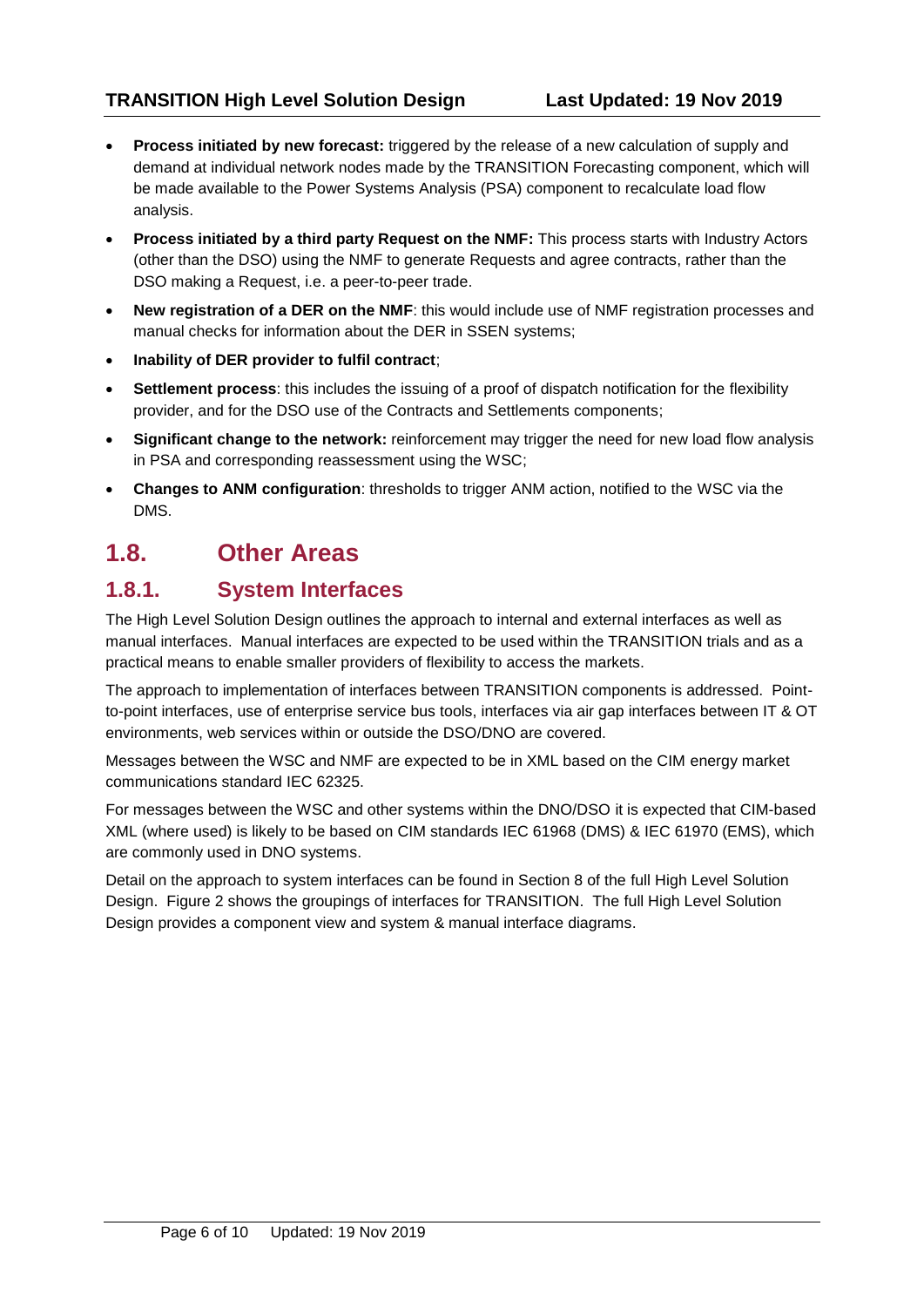- **Process initiated by new forecast:** triggered by the release of a new calculation of supply and demand at individual network nodes made by the TRANSITION Forecasting component, which will be made available to the Power Systems Analysis (PSA) component to recalculate load flow analysis.
- **Process initiated by a third party Request on the NMF:** This process starts with Industry Actors (other than the DSO) using the NMF to generate Requests and agree contracts, rather than the DSO making a Request, i.e. a peer-to-peer trade.
- **New registration of a DER on the NMF**: this would include use of NMF registration processes and manual checks for information about the DER in SSEN systems;
- **Inability of DER provider to fulfil contract**;
- **Settlement process**: this includes the issuing of a proof of dispatch notification for the flexibility provider, and for the DSO use of the Contracts and Settlements components;
- **Significant change to the network:** reinforcement may trigger the need for new load flow analysis in PSA and corresponding reassessment using the WSC;
- **Changes to ANM configuration**: thresholds to trigger ANM action, notified to the WSC via the DMS.

### **1.8. Other Areas**

#### **1.8.1. System Interfaces**

The High Level Solution Design outlines the approach to internal and external interfaces as well as manual interfaces. Manual interfaces are expected to be used within the TRANSITION trials and as a practical means to enable smaller providers of flexibility to access the markets.

The approach to implementation of interfaces between TRANSITION components is addressed. Pointto-point interfaces, use of enterprise service bus tools, interfaces via air gap interfaces between IT & OT environments, web services within or outside the DSO/DNO are covered.

Messages between the WSC and NMF are expected to be in XML based on the CIM energy market communications standard IEC 62325.

For messages between the WSC and other systems within the DNO/DSO it is expected that CIM-based XML (where used) is likely to be based on CIM standards IEC 61968 (DMS) & IEC 61970 (EMS), which are commonly used in DNO systems.

Detail on the approach to system interfaces can be found in Section 8 of the full High Level Solution Design. Figure 2 shows the groupings of interfaces for TRANSITION. The full High Level Solution Design provides a component view and system & manual interface diagrams.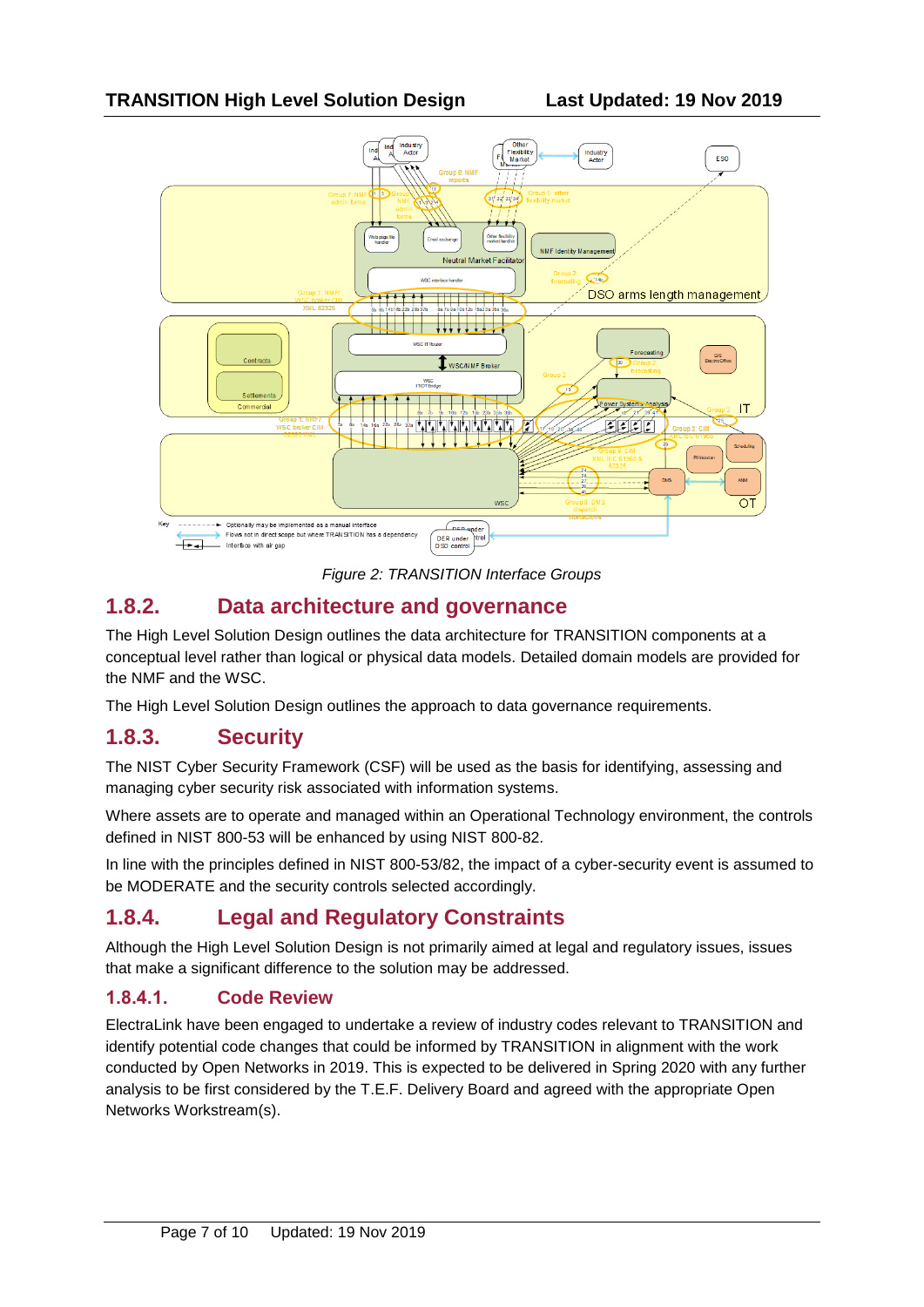

*Figure 2: TRANSITION Interface Groups*

#### **1.8.2. Data architecture and governance**

The High Level Solution Design outlines the data architecture for TRANSITION components at a conceptual level rather than logical or physical data models. Detailed domain models are provided for the NMF and the WSC.

The High Level Solution Design outlines the approach to data governance requirements.

#### **1.8.3. Security**

The NIST Cyber Security Framework (CSF) will be used as the basis for identifying, assessing and managing cyber security risk associated with information systems.

Where assets are to operate and managed within an Operational Technology environment, the controls defined in NIST 800-53 will be enhanced by using NIST 800-82.

In line with the principles defined in NIST 800-53/82, the impact of a cyber-security event is assumed to be MODERATE and the security controls selected accordingly.

### **1.8.4. Legal and Regulatory Constraints**

Although the High Level Solution Design is not primarily aimed at legal and regulatory issues, issues that make a significant difference to the solution may be addressed.

#### **1.8.4.1. Code Review**

ElectraLink have been engaged to undertake a review of industry codes relevant to TRANSITION and identify potential code changes that could be informed by TRANSITION in alignment with the work conducted by Open Networks in 2019. This is expected to be delivered in Spring 2020 with any further analysis to be first considered by the T.E.F. Delivery Board and agreed with the appropriate Open Networks Workstream(s).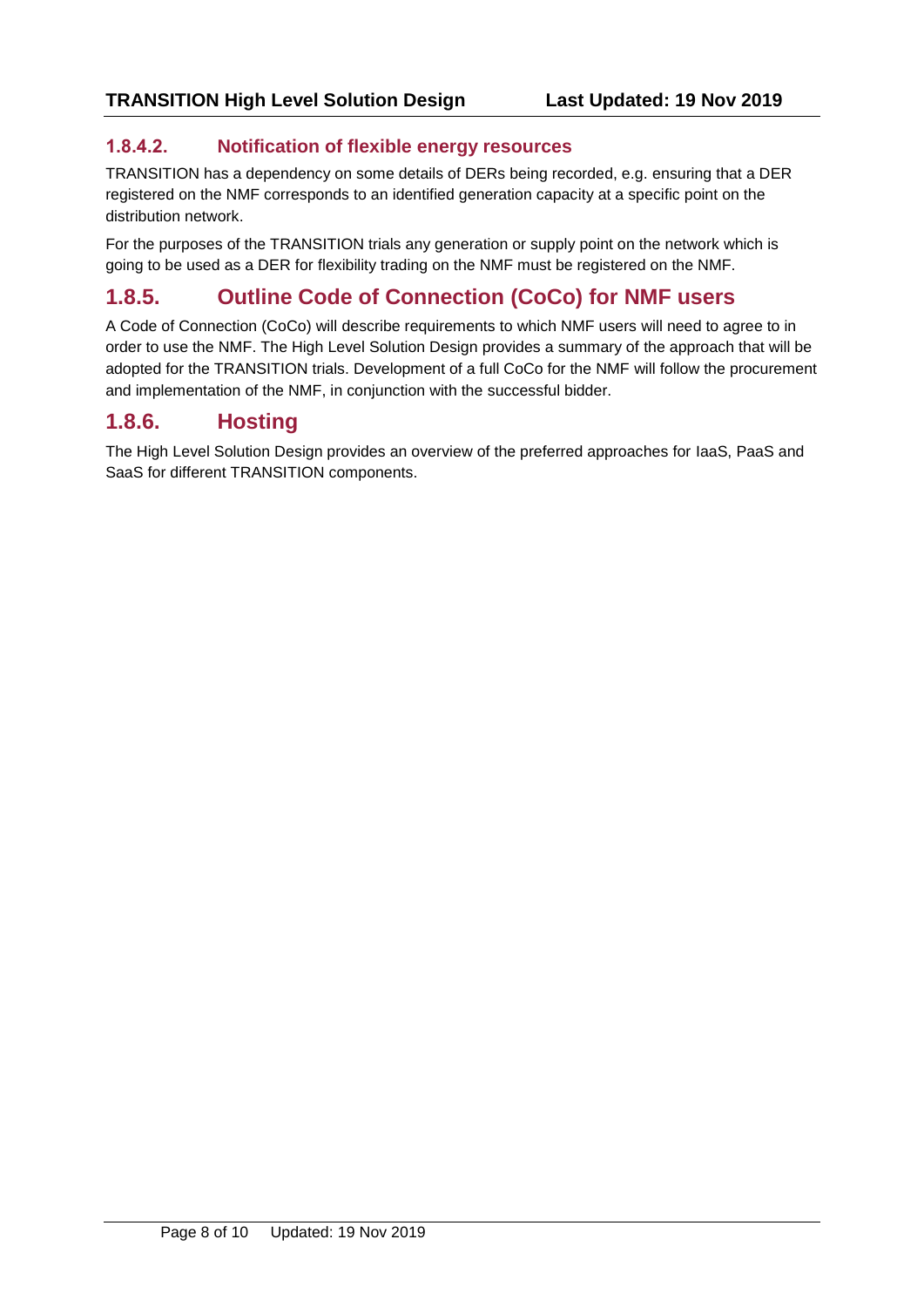#### **1.8.4.2. Notification of flexible energy resources**

TRANSITION has a dependency on some details of DERs being recorded, e.g. ensuring that a DER registered on the NMF corresponds to an identified generation capacity at a specific point on the distribution network.

For the purposes of the TRANSITION trials any generation or supply point on the network which is going to be used as a DER for flexibility trading on the NMF must be registered on the NMF.

### **1.8.5. Outline Code of Connection (CoCo) for NMF users**

A Code of Connection (CoCo) will describe requirements to which NMF users will need to agree to in order to use the NMF. The High Level Solution Design provides a summary of the approach that will be adopted for the TRANSITION trials. Development of a full CoCo for the NMF will follow the procurement and implementation of the NMF, in conjunction with the successful bidder.

#### **1.8.6. Hosting**

The High Level Solution Design provides an overview of the preferred approaches for IaaS, PaaS and SaaS for different TRANSITION components.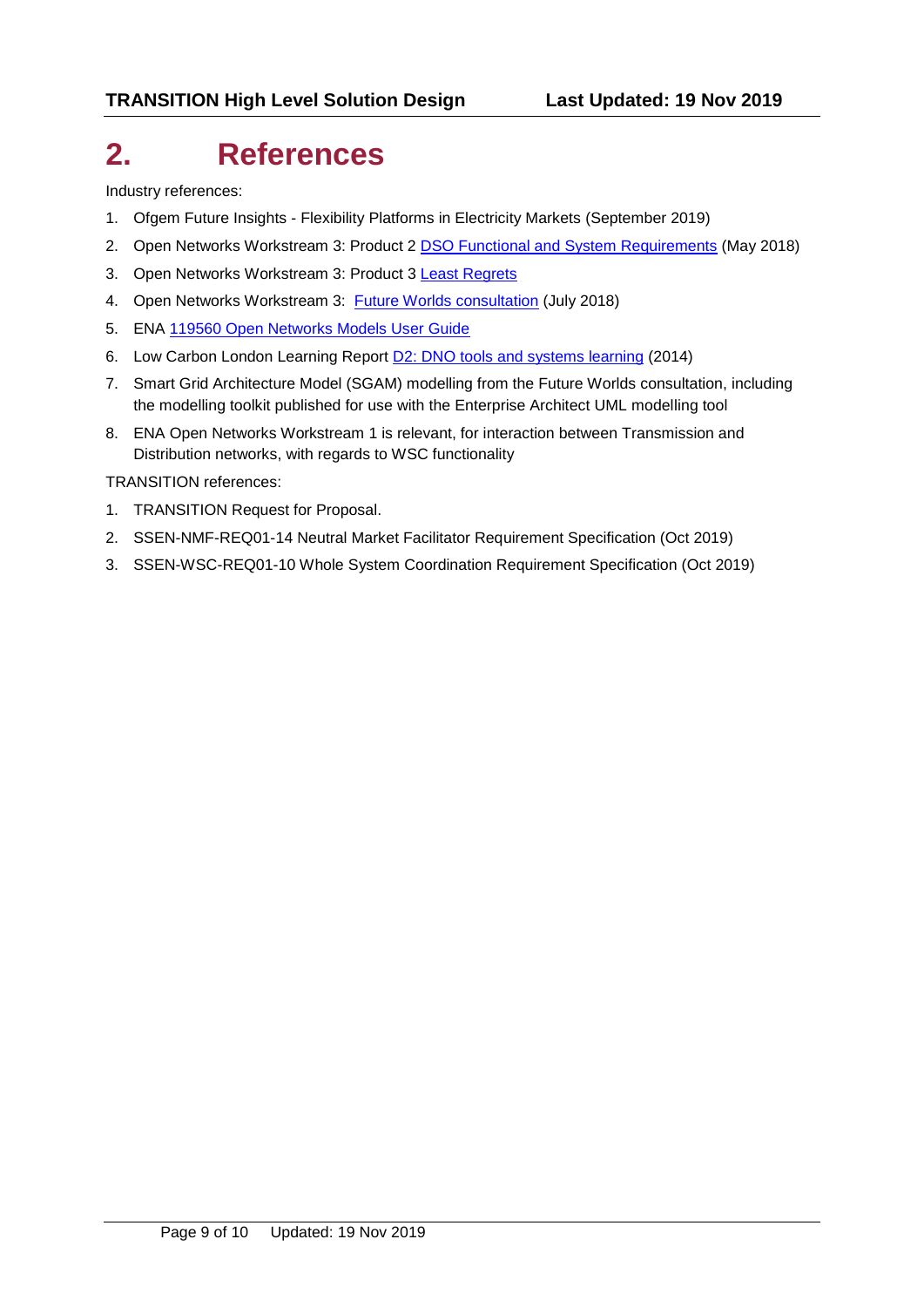# **2. References**

Industry references:

- 1. Ofgem Future Insights Flexibility Platforms in Electricity Markets (September 2019)
- 2. Open Networks Workstream 3: Product 2 **DSO Functional [and System Requirements](http://www.energynetworks.org/assets/files/ON-WS3-P2%20DSO%20Functional%20Requirements.pdf)** (May 2018)
- 3. Open Networks [Workstream 3: Product 3](http://www.energynetworks.org/assets/files/ON-PRJ-Least%20Regrets%20Analysis%202019%20PID%20Input.pdf) [Least Regrets](http://www.energynetworks.org/assets/files/ON-PRJ-Least%20Regrets%20Analysis%202019%20PID%20Input.pdf)
- 4. Open Networks Workstream 3: [Future Worlds consultation](http://www.energynetworks.org/assets/files/14969_ENA_FutureWorlds_AW06_INT.pdf) (July 2018)
- 5. ENA [119560 Open Networks Models User Guide](http://www.energynetworks.org/assets/files/Modelling-DSO-Transition-Using-SGAM_Issue2.1_PublicDomain.pdf)
- 6. Low Carbon London Learning Report [D2: DNO tools and systems learning](https://innovation.ukpowernetworks.co.uk/wp-content/uploads/2019/05/D2-DNO-Tools-and-Systems-Learning.pdf) (2014)
- 7. Smart Grid Architecture Model (SGAM) modelling from the Future Worlds consultation, including the modelling toolkit published for use with the Enterprise Architect UML modelling tool
- 8. ENA Open Networks Workstream 1 is relevant, for interaction between Transmission and Distribution networks, with regards to WSC functionality

TRANSITION references:

- 1. TRANSITION Request for Proposal.
- 2. SSEN-NMF-REQ01-14 Neutral Market Facilitator Requirement Specification (Oct 2019)
- 3. SSEN-WSC-REQ01-10 Whole System Coordination Requirement Specification (Oct 2019)